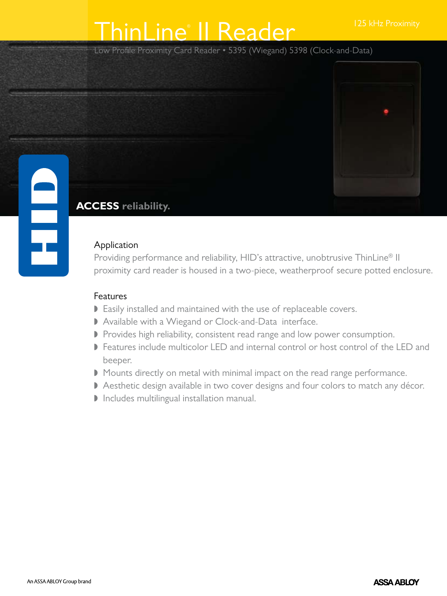# ThinLine<sup>®</sup> II Reader 125 kHz Proximity

Low Profile Proximity Card Reader • 5395 (Wiegand) 5398 (Clock-and-Data)



## **ACCESS reliability.**

### Application

Providing performance and reliability, HID's attractive, unobtrusive ThinLine<sup>®</sup> II proximity card reader is housed in a two-piece, weatherproof secure potted enclosure.

### Features

- Easily installed and maintained with the use of replaceable covers.
- Available with a Wiegand or Clock-and-Data interface.
- Provides high reliability, consistent read range and low power consumption.
- Features include multicolor LED and internal control or host control of the LED and beeper.
- Mounts directly on metal with minimal impact on the read range performance.
- Aesthetic design available in two cover designs and four colors to match any décor.
- $\triangleright$  Includes multilingual installation manual.